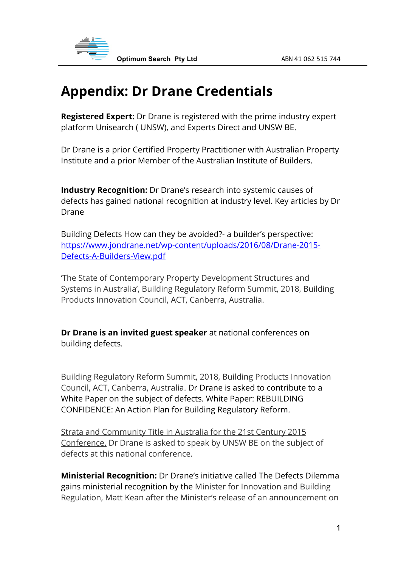

## **Appendix: Dr Drane Credentials**

**Registered Expert:** Dr Drane is registered with the prime industry expert platform Unisearch ( UNSW), and Experts Direct and UNSW BE.

Dr Drane is a prior Certified Property Practitioner with Australian Property Institute and a prior Member of the Australian Institute of Builders.

**Industry Recognition:** Dr Drane's research into systemic causes of defects has gained national recognition at industry level. Key articles by Dr Drane

Building Defects How can they be avoided?- a builder's perspective: https://www.jondrane.net/wp-content/uploads/2016/08/Drane-2015- Defects-A-Builders-View.pdf

'The State of Contemporary Property Development Structures and Systems in Australia', Building Regulatory Reform Summit, 2018, Building Products Innovation Council, ACT, Canberra, Australia.

**Dr Drane is an invited guest speaker** at national conferences on building defects.

Building Regulatory Reform Summit, 2018, Building Products Innovation Council, ACT, Canberra, Australia. Dr Drane is asked to contribute to a White Paper on the subject of defects. White Paper: REBUILDING CONFIDENCE: An Action Plan for Building Regulatory Reform.

Strata and Community Title in Australia for the 21st Century 2015 Conference. Dr Drane is asked to speak by UNSW BE on the subject of defects at this national conference.

**Ministerial Recognition:** Dr Drane's initiative called The Defects Dilemma gains ministerial recognition by the Minister for Innovation and Building Regulation, Matt Kean after the Minister's release of an announcement on